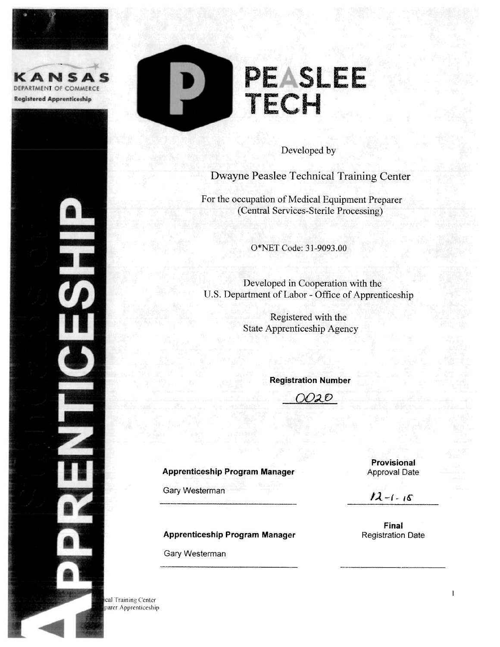







Developed by

Dwayne Peaslee Technical Training Center

For the occupation of Medical Equipment Preparer (Central Services-Sterile Processing)

O\*NET Code: 31-9093.00

Developed in Cooperation with the U.S. Department of Labor - Office of Apprenticeship

> Registered with the **State Apprenticeship Agency**

> > **Registration Number**

020

#### **Apprenticeship Program Manager**

Gary Westerman

**Apprenticeship Program Manager** 

Gary Westerman

Provisional **Approval Date** 

 $12 - 1 - 15$ 

Final **Registration Date** 

cal Training Center parer Apprenticeship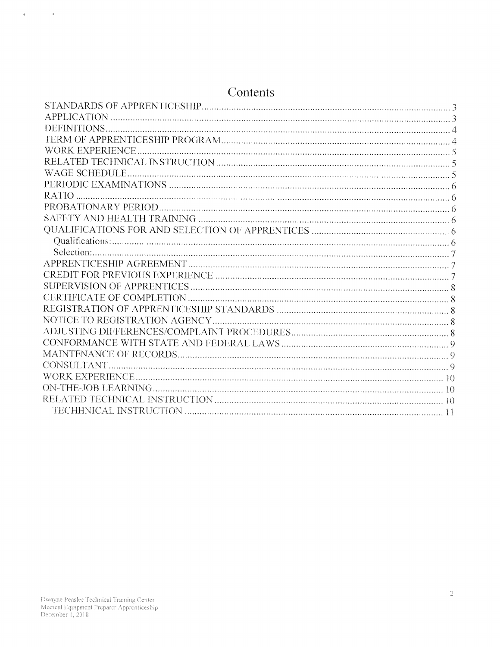| Contents               |  |
|------------------------|--|
|                        |  |
|                        |  |
|                        |  |
|                        |  |
| <b>WORK EXPERIENCE</b> |  |
|                        |  |
|                        |  |
|                        |  |
| $RATIO$                |  |
|                        |  |
|                        |  |
|                        |  |
|                        |  |
|                        |  |
|                        |  |
|                        |  |
|                        |  |
|                        |  |
|                        |  |
|                        |  |
|                        |  |
|                        |  |
|                        |  |
| CONSULTANT.            |  |
|                        |  |
|                        |  |
|                        |  |
|                        |  |

# Dwayne Peaslee Technical Training Center<br>Medical Equipment Preparer Apprenticeship<br>December 1, 2018

 $\label{eq:4} \mathbf{E}(\mathbf{r}) = \mathbf{E}(\mathbf{r}) \mathbf{r} + \mathbf{E}(\mathbf{r}) \mathbf{r}$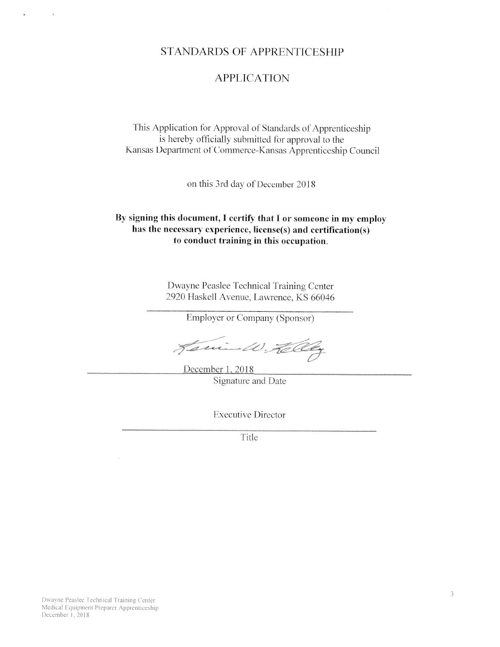# **STANDARDS OF APPRENTICESHIP**

# **APPLICATION**

This Application for Approval of Standards of Apprenticeship is hereby officially submitted for approval to the Kansas Department of Commerce-Kansas Apprenticeship Council

on this 3rd day of December 2018

#### By signing this document, I certify that I or someone in my employ has the necessary experience, license(s) and certification(s) to conduct training in this occupation.

Dwayne Peaslee Technical Training Center 2920 Haskell Avenue, Lawrence, KS 66046

**Employer or Company (Sponsor)** 

Jani-W. Tel

December 1, 2018 Signature and Date

**Executive Director** 

Title

Dwayne Peaslee Technical Training Center Medical Equipment Preparer Apprenticeship December 1, 2018

 $\mathbf{x}$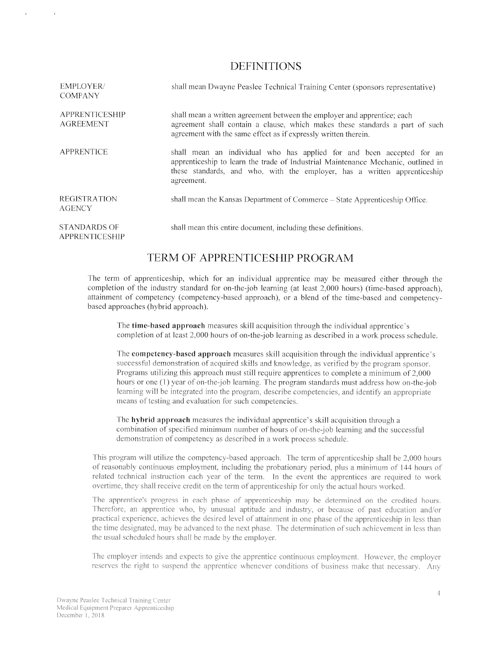#### DEFINITIONS

| <b>EMPLOYER/</b><br><b>COMPANY</b>        | shall mean Dwayne Peaslee Technical Training Center (sponsors representative)                                                                                                                                                                         |
|-------------------------------------------|-------------------------------------------------------------------------------------------------------------------------------------------------------------------------------------------------------------------------------------------------------|
| <b>APPRENTICESHIP</b><br><b>AGREEMENT</b> | shall mean a written agreement between the employer and apprentice; each<br>agreement shall contain a clause, which makes these standards a part of such<br>agreement with the same effect as if expressly written therein.                           |
| <b>APPRENTICE</b>                         | shall mean an individual who has applied for and been accepted for an<br>apprenticeship to learn the trade of Industrial Maintenance Mechanic, outlined in<br>these standards, and who, with the employer, has a written apprenticeship<br>agreement. |
| <b>REGISTRATION</b><br><b>AGENCY</b>      | shall mean the Kansas Department of Commerce - State Apprenticeship Office.                                                                                                                                                                           |
| <b>STANDARDS OF</b><br>APPRENTICESHIP     | shall mean this entire document, including these definitions.                                                                                                                                                                                         |

# TERM OF APPRENTICESHIP PROGRAM

The term of apprenticeship, which for an individual apprentice may be measured either through the completion of the industry standard for on-the-job learning (at least 2,000 hours) (time-based approach), attainment of competency (competency-based approach). or <sup>a</sup> blend of the time-based and competencybased approaches (hybrid approach).

The **time-based approach** measures skill acquisition through the individual apprentice's completion of at least 2.000 hours of on-the-job learning as described in <sup>a</sup> work process schedule.

The competency-based approach measures skill acquisition through the individual apprentice's successful demonstration of acquired skills and knowledge, as verified by the program sponsor. Programs utilizing this approach must still require apprentices to complete a minimum of 2,000 hours or one (1) year of on-the-job learning. The program standards must address how on-the-job learning will be integrated into the program, describe competencies, and identify an appropriate means of testing and evaluation for such competencies.

The hybrid approac<sup>h</sup> measures the individual apprentice's skill acquisition through <sup>a</sup> combination of specified minimum number of hours of on-the-job learning and the successful demonstration of competency as described in <sup>a</sup> work process schedule

This program will utilize the competency-based approach. The term of apprenticeship shall be 2,000 hours of reasonably continuous employment, including the probationary period, plus a minimum of 144 hours of related technical instruction each year of the term. In the event the apprentices are required to work overtime, they shall receive credit on the term of apprenticeship for only the actual hours worked.

The apprentice's progress in each phase of apprenticeship may be determined on the credited hours. Therefore, an apprentice who, by unusual aptitude and industry, or because of past education and/or practical experience, achieves the desired level of attainment in one phase of the apprenticeship in less than the time designated, may be advanced to the next phase. The determination of such achievement in less than the usual scheduled hours shall be made by the employer.

The employer intends and expects to give the apprentice continuous employment. However, the employer reserves the right to suspend the apprentice whenever conditions of business make that necessary. Any

 $\bar{z}$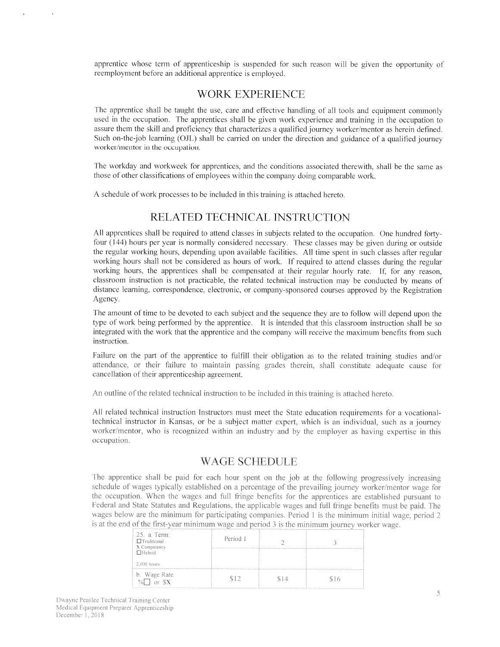apprentice whose term of apprenticeship is suspended for such reason will be given the opportunity of reemployment before an additional apprentice is employed.

#### WORK EXPERIENCE

The apprentice shall be taught the use. care and effective handling of all tools and equipment commonly used in the occupation. The apprentices shall he <sup>g</sup>iven work experience and training in the occupation to assure them the skill and proficiency that characterizes a qualified journey worker/mentor as herein defined. Such on-the-job learning (OJL) shall be carried on under the direction and guidance of a qualified journey worker/mentor in the occupation.

The workday and workweek for apprentices, and the conditions associated therewith. shall be the same as those of other classifications of employees within the company doing comparable work.

<sup>A</sup> schedule of work processes to be included in this training is attached hereto.

#### RELATED TECHNICAL INSTRUCTION

All apprentices shall be required to attend classes in subjects related to the occupation. One hundred fortyfour (144) hours per year is normally considered necessary. These classes may be given during or outside the regular working hours, depending upon available facilities. All time spent in such classes after regular working hours shall not be considered as hours of work, If required to attend classes during the regular working hours, the apprentices shall be compensated at their regular hourly rate. If, for any reason. classroom instruction is not practicable, the related technical instruction may be conducted by means of distance learning. correspondence. electronic. or company-sponsore<sup>d</sup> courses approve<sup>d</sup> by the Registration Agenc\.

The amount of time to be devoted to each subject and the sequence they are to follow will depend upon the type of work being performed by the apprentice. It is intended that this classroom instruction shall be so integrated with the work that the apprentice and the company will receive the maximum benefits from such instruction.

Failure on the part of the apprentice to fulfill their obligation as to the related training studies and/or attendance, or their failure to maintain passing grades therein, shall constitute adequate cause for cancellation of their apprenticeship agreement.

An outline of the related technical instruction to be included in this training is attached hereto.

All related technical instruction Instructors must meet the State education requirements for <sup>a</sup> vocationaltechnical instructor in Kansas, or be <sup>a</sup> subject matter expert, which is an individual, such as <sup>a</sup> journey worker/mentor, who is recognized within an industry and by the employer as having expertise in this occupation.

#### WAGE SCHEDULE

The apprentice shall be paid for each hour spent on the job at the following progressively increasing n a percentage of the prevailing journey worker/mentor was the occupation. When the wages and full fringe benefits for the apprentices are established pursuant to Federal and State Statutes and Regulations, the applicable wages and full fringe benefits must be paid. The wages below are the minimum for participating companies. Period  $1$  is the minimum initial wage, period  $2$ is at the end of the first-year minimum wage and period 3 is the minimum journey worker wage.

| 25. a. Term:<br>$\Box$ Traditional<br>X Competency<br>□Hybrid | Period 1 |     |       |
|---------------------------------------------------------------|----------|-----|-------|
| 2,000 hours                                                   |          |     |       |
| b. Wage Rate<br>or SX                                         |          | 514 | S i 6 |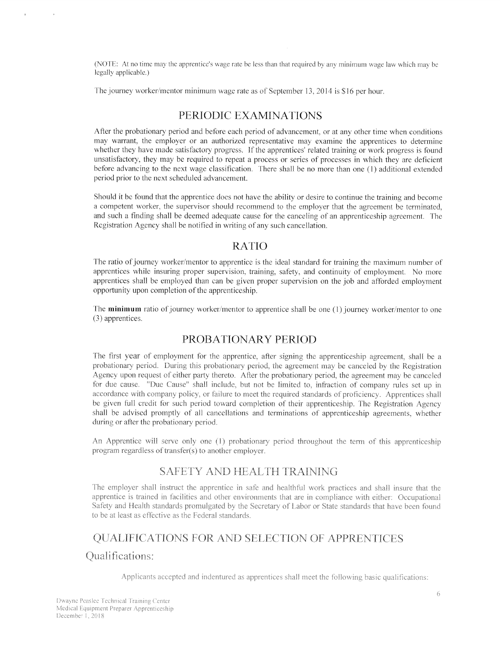(NOTE: At no time may the apprentice's wage rate be less than that required by any minimum wage law which may be legally applicable.)

The journey worker/mentor minimum wage rate as of September 13, 2014 is \$16 per hour.

#### PERIODIC EXAMINATIONS

After the probationary period and before each period of advancement, or at any other time when conditions may warrant, the employer or an authorized representative may examine the apprentices to determine whether they have made satisfactory progress. If the apprentices' related training or work progress is found unsatisfactory, they may be required to repea<sup>t</sup> <sup>a</sup> process or series of processes in which they are deficient before advancing to the next wage classification, There shall be no more than one (1) additional extended period prior to the next scheduled advancement.

Should it he tbund that the apprentice does not have the ability or desire to continue the training and become a competent worker, the supervisor should recommend to the employer that the agreement be terminated, and such <sup>a</sup> finding shall be deemed adequate cause for the canceling of an apprenticeship agreement. The Registration Agency shall he notifed in writing of any such cancellation.

# RATIO

The ratio of journey worker/mentor to apprentice is the ideal standard for training the maximum number of apprentices while insuring proper supervision, training, safety, and continuity of employment. No more apprentices shall be employed than can be <sup>g</sup>iven proper supervision on the job and afforded employment opportunity upon completion of the apprenticeship.

The minimum ratio of journey worker/mentor to apprentice shall be one (1) journey worker/mentor to one (3) apprentices.

# PROBATIONARY PERIOD

The first year of employment for the apprentice, after signing the apprenticeship agreement, shall be a probationary period. During this probationary period, the agreement may be canceled by the Registration Agency upon request of either party thereto. After the probationary period, the agreement may be canceled for due cause. "Due Cause" shall include, but not be limited to, infraction of company rules set up in accordance with company policy, or failure to meet the required standards of proficiency. Apprentices shall he <sup>g</sup>iven full credit for such period toward completion of their apprenticeship. The Registration Agency shall be advised promptly of all cancellations and terminations of apprenticeship agreements, whether during or after the probationary period.

An Apprentice will serve only one (1) probationary period throughout the term of this apprenticeship program regardless of transfer( $s$ ) to another employer.

# SAFETY AND HEALTH TRAINING

The employer shall instruct the apprentice in safe and healthful work practices and shall insure that the apprentice is trained in facilities and other environments that are in compliance with either: Occupational Safety and Health standards promulgated by the Secretary of Labor or State standards that have been found to be at least as effective as the Federal standards.

# QUALIFICATIONS FOR AND SELECTION OF APPRENTICES Qualifications:

Applicants accepted and indentured as apprentices shall meet the following basic qualifications: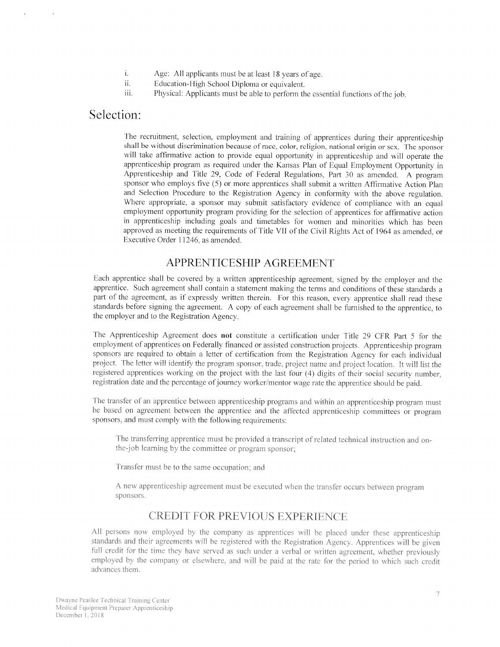- i. Age: All applicants must be at least <sup>18</sup> years of age.
- ii. Education-High School Diploma or equivalent.
- iii. Physical: Applicants must be able to perform the essential functions of the job.

# Selection:

The recruitment, selection, employment and training of apprentices during their apprenticeship shall be without discrimination because of race. color, religion, national origin or sex. The sponsor will take affirmative action to provide equal opportunity in apprenticeship and will operate the apprenticeship program as required under the Kansas Plan of Equal Employment Opportunity in Apprenticeship and Title 29, Code of Federal Regulations. Part <sup>30</sup> as amended <sup>A</sup> program sponsor who employs five (5) or more apprentices shall submit <sup>a</sup> written Affirmative Action Plan and Selection Procedure to the Registration Agency in conformity with the above regulation. Where appropriate, a sponsor may submit satisfactory evidence of compliance with an equal employment opportunity program providing for the selection of apprentices for affirmative action in apprenticeship including goals and timetables for women and minorities which has been approve<sup>d</sup> as meeting the requirements of Title VII of the Civil Rights Act of <sup>1964</sup> as amended, or Executive Order 11246, as amended.

#### APPRENTICESHIP AGREEMENT

Each apprentice shall be covered by a written apprenticeship agreement, signed by the employer and the apprentice. Such agreemen<sup>t</sup> shall contain <sup>a</sup> statement making the terms and conditions of these standards <sup>a</sup> part of the agreement, as if expressly written therein. For this reason, every apprentice shall read these standards before signing the agreement. <sup>A</sup> copy of each agreemen<sup>t</sup> shall be furnished to the apprentice. to the employer and to the Registration Agency.

The Apprenticeship Agreement does not constitute <sup>a</sup> certification under Title 29 CFR Part 5 for the employment of apprentices on Federally financed or assisted construction projects. Apprenticeship program sponsors are required to obtain a letter of certification from the Registration Agency for each individual project. The letter will identify the program sponsor, trade, project name and project location. It will list the registered apprentices working on the project with the last four (4) digits of their social security number, registration date and the percentage of journey worker/mentor wage rate the apprentice should be paid.

The transfer of an apprentice between apprenticeship programs and within an apprenticeship program must be based on agreemen<sup>t</sup> between the apprentice and the affected apprenticeship committees or program sponsors, and must comply with the following requirements:

The transferring apprentice must be provided a transcript of related technical instruction and onthe-job learning by the committee or program sponsor;

Transfer must be to the same occupation; and

A new apprenticeship agreement must be executed when the transfer occurs between program sponsors.

#### CREDIT FOR PREVIOLS EXPERIENCE

All persons now employed by the company as apprentices will be placed under these apprenticeship indards and their agreements will be registered with the Registration Agency. Apprentic full credit for the time they have served as such under a verbal or written agreement, whether previously employed by the company or elsewhere, and will be paid at the rate for the period to which such credit advances them.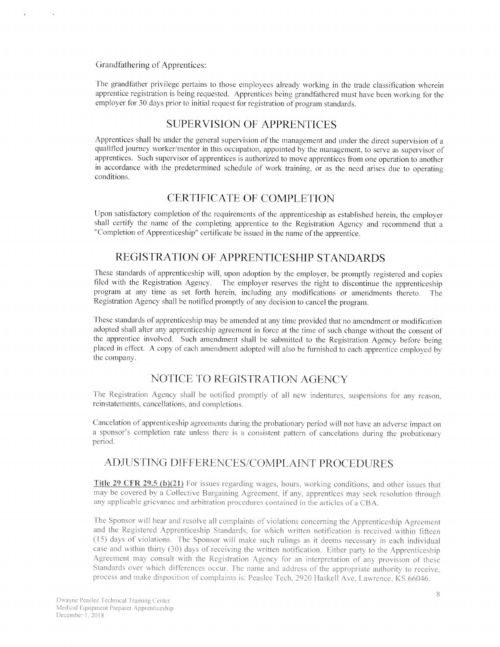#### Grandfathering of Apprentices:

The grandfather privilege pertains to those employees already working in the trade classification wherein apprentice registration is being requested. Apprentices being grandfathered must have been working for the employer for 30 days prior to initial request for registration of program standards.

#### SUPERVISION OF APPRENTICES

Apprentices shall be under the general supervision of the management and under the direct supervision of a qualified journey worker/mentor in this occupation, appointed by the management, to serve as supervisor of apprentices. Such supervisor of apprentices is authorized to move apprentices from one operation to another in accordance with the predetermined schedule of work training, or as the need arises due to operating conditions.

#### CERTIFICATE OF COMPLETiON

Upon satisfactory completion of the requirements of the apprenticeship as established herein, the employer shall certify the name of the completing apprentice to the Registration Agency and recommend that <sup>a</sup> "Completion of Apprenticeship" certificate be issued in the name of the apprentice.

#### REGISTRATION OF APPRENTICESHIP STANDARDS

These standards of apprenticeship will, upon adoption by the employer, be promptly registered and copies filed with the Registration Agency. The employer reserves the right to discontinue the apprenticeship program at any time as set forth herein, including any modifications or amendments thereto. Registration Agency shall he notified promptly of any decision to cancel the program.

These standards of apprenticeship may be amended at any time provided that no amendment or modification adopted shall alter any apprenticeship agreement in force at the time of such change without the consent of the apprentice involved. Such amendment shall be submitted to the Registration Agency before being placed in effect. A copy of each amendment adopted will also be furnished to each apprentice employed by the company.

#### NOTICE TO REGISTRATION AGENCY

The Registration Agency shall be notified promptly of all new indentures, suspensions for any reason, reinstatements, cancellations, and completions.

Cancelation of apprenticeship agreements during the probationary period will not have an adverse impact on a sponsor's completion rate unless there is a consistent pattern of cancelations during the probationary period.

# ADJUSTING DIFFERENCES/COMPLAINT PROCEDURES

Title 29 CFR 29.5 (b)(21) For issues regarding wages, hours, working conditions, and other issues that may be covered by a Collective Bargaining Agreement, if any, apprentices may seek resolution through any applicable grievance and arbitration procedures contained in the articles of a CBA.

The Sponsor will hear and resolve all complaints of violations concerning the Apprenticeship Agreement and the Registered Apprenticeship Standards, for which written notification is received within fifteen (15) days of violations. The Sponsor will make such rulings as it deems necessary in each individual case and within thirty (30) days of receiving the written notification. Either party to the Apprenticeship Agreement may consult with the Registration Agency for an interpretation of any provision of these Standards over which differences occur. The name and address of the appropriate authority to receive, process and make disposition of complaints is: Peaslee Tech, 2920 Haskell Ave, Lawrence, KS 66046.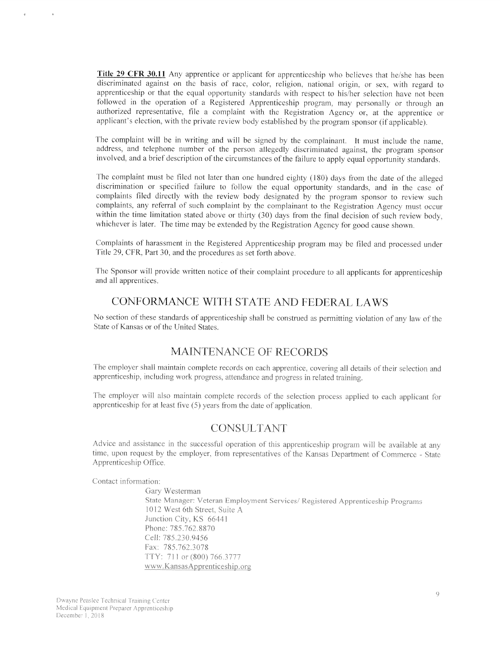**Title 29 CFR 30.11** Any apprentice or applicant for apprenticeship who believes that he/she has been discriminated against on the basis of race, color, religion, national origin, or sex, with regar<sup>d</sup> to apprenticeship or that the equa<sup>l</sup> opportunity standards with respec<sup>t</sup> to his/her selection have not been followed in the operation of <sup>a</sup> Registered Apprenticeship program, may personally or through an authorized representative, file <sup>a</sup> complaint with the Registration Agency or, at the apprentice or applicant's election, with the private review body established by the program sponsor (if applicable).

The complaint will be in writing and will be signed by the complainant. It must include the name. address, and telephone number of the person allegedly discriminated against, the program sponsor involved, and a brief description of the circumstances of the failure to apply equal opportunity standards.

The complaint must be filed not later than one hundred eighty (180) days from the date of the alleged discrimination or specified failure to follow the equal opportunity standards, and in the case of complaints filed directly with the review body designated by the program sponsor to review such complaints, any referral of such complaint by the complainant to the Registration Agency must occur within the time limitation stated above or thirty (30) days from the final decision of such review body, whichever is later. The time may be extended by the Registration Agency for good cause shown.

Complaints of harassment in the Registered Apprenticeship program may be filed and processed under Fitle 29. CFR, Part 30. and the procedures as set forth above,

The Sponsor will provide written notice of their complaint procedure to all applicants for apprenticeship and all apprentices.

# CONFORMANCE WiTH STATE AND FEDERAL LAWS

No section of these standards of apprenticeship shall he construed as permitting violation of any law of the State of Kansas or of the United States.

#### \'LAINTENANCE OF RECORDS

The employer shall maintain complete records on each apprentice, covering all details of their selection and apprenticeship, including work progress, attendance and progress in related training.

The employer will also maintain complete records of the selection process applied to each applicant for apprenticeship for at least five  $(5)$  years from the date of application.

#### CONSULTANT

Advice and assistance in the successful operation of this apprenticeship program will be available at any. time, upon request by the employer, from representatives of the Kansas Department of Commerce - State Apprenticeship Office.

Contact information:

 $\alpha$ 

Gary Westerman State Manager: Veteran Employment Services/ Registered Apprenticeship Programs 1012 West 6th Street, Suite A. Junction City. KS 6644 Phone: 785,762,8870 Cell: 785.230.9456 Fax: 785.762.3078 TTY: 711 or (800) 766.3777 www.KansasApprenticeship.org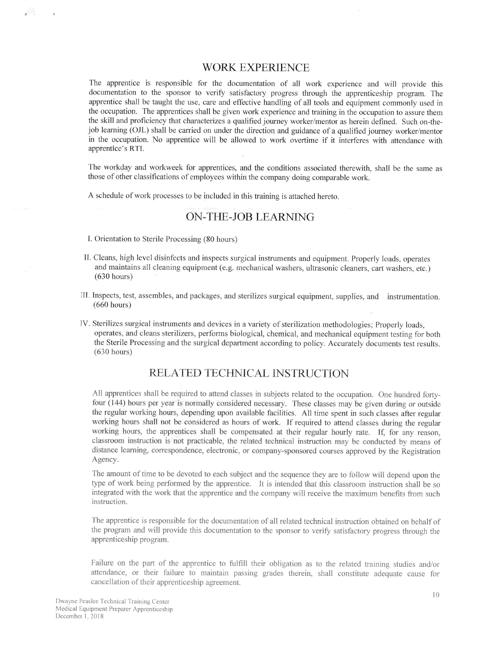#### WORK EXPERIENCE

The apprentice is responsible for the documentation of all work experience and will provide this documentation to the sponsor to verify satisfactory progress through the apprenticeship program. The apprentice shall be taught the use, care and effective handling of all tools and equipment commonly used in the occupation. The apprentices shall be <sup>g</sup>iven work experience and training in the occupation to assure them the skill and proficiency that characterizes a qualified journey worker/mentor as herein defined. Such on-thejob learning (OJL) shall be carried on under the direction and guidance of <sup>a</sup> qualified journey worker/mentor in the occupation, No apprentice will be allowed to work overtime if it interferes with attendance with apprentice's RTI.

The workday and workweek for apprentices, and the conditions associated therewith, shall be the same as those of other classifications of employees within the company doing comparable work.

<sup>A</sup> schedule of work processes to he included in this training is attached hereto.

# ON-THE-JOB LEARNING

I. Orientation to Sterile Processing (80 hours)

JAS.

- II. Cleans, high level disinfects and inspects surgical instruments and equipment. Properly loads, operates and maintains all cleaning equipment (e.g. mechanical washers, ultrasonic cleaners, cart washers, etc.) (630 hours)
- [Ii. Inspects, test, assembles, and packages, and sterilizes surgical equipment. supplies, and instrumentation, (660 hours)
- IV. Sterilizes surgical instruments and devices in a variety of sterilization methodologies; Properly loads, operates. and cleans sterilizers, performs biological, chemical, and mechanical equipment testing for both the Sterile Processing and the surgical department according to policy. Accurately documents test results. (630 hours

#### RELATED TECHNICAL INSTRUCTION

All apprentices shall be required to attend classes in subjects related to the occupation. One hundred fortyfour (144) hours per year is normally considered necessary. These classes may be given during or outside the regular working hours, depending upon available facilities. All time spent in such classes after regular working hours shall not be considered as hours of work. If required to attend classes during the regular working hours, the apprentices shall be compensated at their regular hourly rate. If, for any reason, classroom instruction is not practicable, the related technical instruction may be conducted by means of distance learning, correspondence, electronic, or company-sponsored courses approved by the Registration Agency.

The amount of time to be devoted to each subject and the sequence they are to follow will depend upon the by the apprentice. It is intended that this classroom ins integrated with the work that the apprentice and the company will receive the maximum benefits from such instruction.

The apprentice is responsible for the documentation of all related technical instruction obtained on behalf of the program and will provide this documentation to the sponsor to verify satisfactory progress through the apprenticeship program

Failure on the part of the apprentice to fulfill their obligation as to the related training studies and/or attendance, or their failure to maintain passing grades therein, shall constitute adequate cause for cancellation of their apprenticeship agreement.